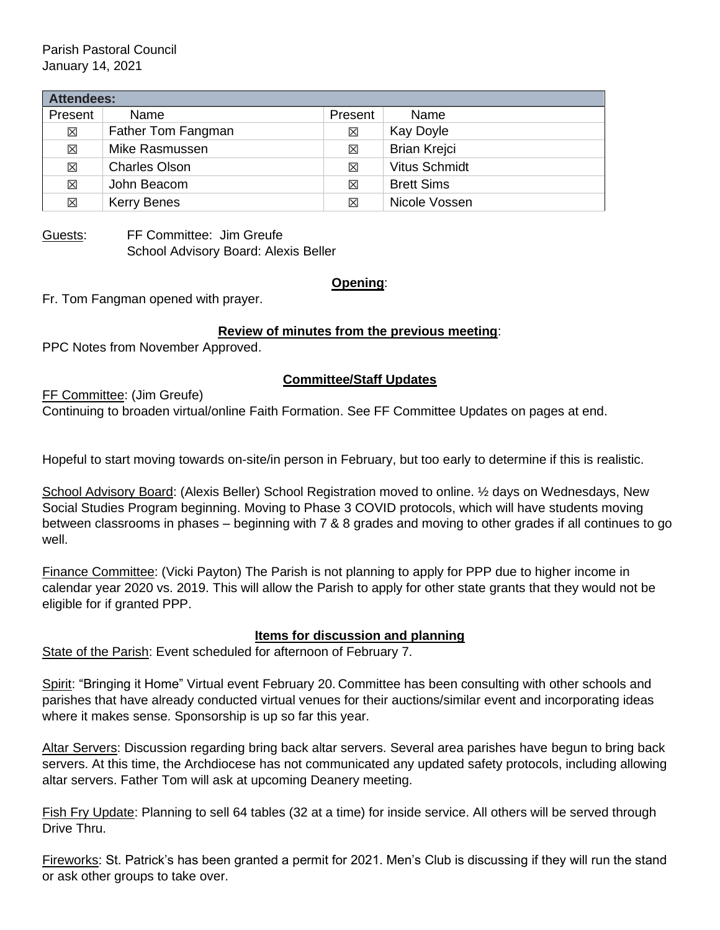Parish Pastoral Council January 14, 2021

| <b>Attendees:</b> |                      |          |                      |
|-------------------|----------------------|----------|----------------------|
| Present           | Name                 | Present  | Name                 |
| $\times$          | Father Tom Fangman   | $\times$ | Kay Doyle            |
| 区                 | Mike Rasmussen       | 区        | <b>Brian Krejci</b>  |
| $\times$          | <b>Charles Olson</b> | 区        | <b>Vitus Schmidt</b> |
| $\times$          | John Beacom          | 区        | <b>Brett Sims</b>    |
| $\times$          | <b>Kerry Benes</b>   | 冈        | Nicole Vossen        |

Guests: FF Committee: Jim Greufe School Advisory Board: Alexis Beller

#### **Opening**:

Fr. Tom Fangman opened with prayer.

### **Review of minutes from the previous meeting**:

PPC Notes from November Approved.

### **Committee/Staff Updates**

FF Committee: (Jim Greufe)

Continuing to broaden virtual/online Faith Formation. See FF Committee Updates on pages at end.

Hopeful to start moving towards on-site/in person in February, but too early to determine if this is realistic.

School Advisory Board: (Alexis Beller) School Registration moved to online. ½ days on Wednesdays, New Social Studies Program beginning. Moving to Phase 3 COVID protocols, which will have students moving between classrooms in phases – beginning with 7 & 8 grades and moving to other grades if all continues to go well.

Finance Committee: (Vicki Payton) The Parish is not planning to apply for PPP due to higher income in calendar year 2020 vs. 2019. This will allow the Parish to apply for other state grants that they would not be eligible for if granted PPP.

#### **Items for discussion and planning**

State of the Parish: Event scheduled for afternoon of February 7.

Spirit: "Bringing it Home" Virtual event February 20. Committee has been consulting with other schools and parishes that have already conducted virtual venues for their auctions/similar event and incorporating ideas where it makes sense. Sponsorship is up so far this year.

Altar Servers: Discussion regarding bring back altar servers. Several area parishes have begun to bring back servers. At this time, the Archdiocese has not communicated any updated safety protocols, including allowing altar servers. Father Tom will ask at upcoming Deanery meeting.

Fish Fry Update: Planning to sell 64 tables (32 at a time) for inside service. All others will be served through Drive Thru.

Fireworks: St. Patrick's has been granted a permit for 2021. Men's Club is discussing if they will run the stand or ask other groups to take over.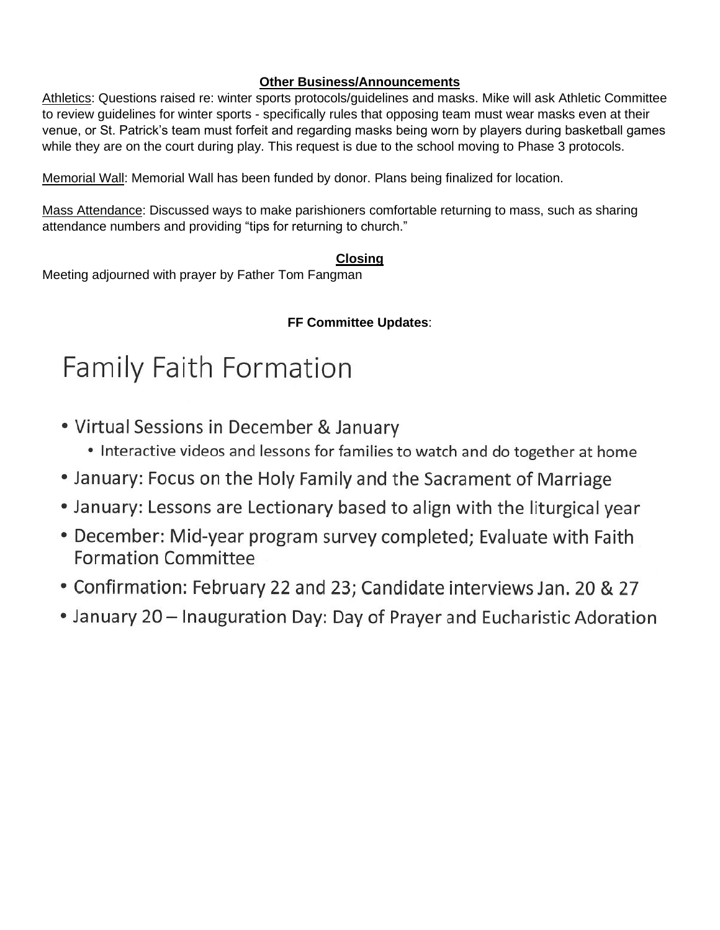## **Other Business/Announcements**

Athletics: Questions raised re: winter sports protocols/guidelines and masks. Mike will ask Athletic Committee to review guidelines for winter sports - specifically rules that opposing team must wear masks even at their venue, or St. Patrick's team must forfeit and regarding masks being worn by players during basketball games while they are on the court during play. This request is due to the school moving to Phase 3 protocols.

Memorial Wall: Memorial Wall has been funded by donor. Plans being finalized for location.

Mass Attendance: Discussed ways to make parishioners comfortable returning to mass, such as sharing attendance numbers and providing "tips for returning to church."

# **Closing**

Meeting adjourned with prayer by Father Tom Fangman

# **FF Committee Updates**:

# **Family Faith Formation**

- Virtual Sessions in December & January
	- Interactive videos and lessons for families to watch and do together at home
- January: Focus on the Holy Family and the Sacrament of Marriage
- January: Lessons are Lectionary based to align with the liturgical year
- December: Mid-year program survey completed; Evaluate with Faith **Formation Committee**
- Confirmation: February 22 and 23; Candidate interviews Jan. 20 & 27
- January 20 Inauguration Day: Day of Prayer and Eucharistic Adoration